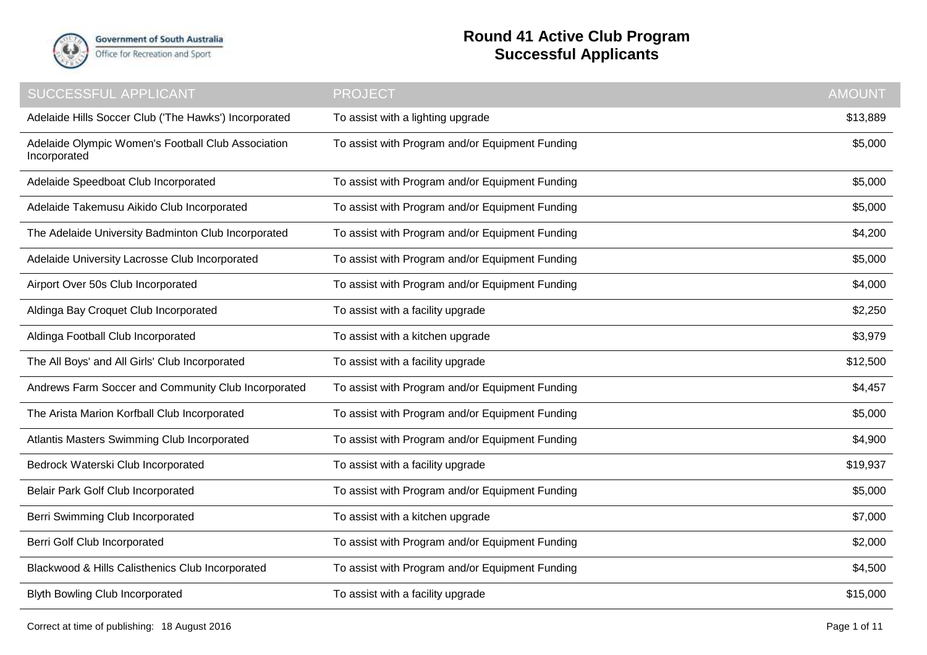

## **Round 41 Active Club Program Successful Applicants**

| SUCCESSFUL APPLICANT                                               | <b>PROJECT</b>                                  | <b>AMOUNT</b> |
|--------------------------------------------------------------------|-------------------------------------------------|---------------|
| Adelaide Hills Soccer Club ('The Hawks') Incorporated              | To assist with a lighting upgrade               | \$13,889      |
| Adelaide Olympic Women's Football Club Association<br>Incorporated | To assist with Program and/or Equipment Funding | \$5,000       |
| Adelaide Speedboat Club Incorporated                               | To assist with Program and/or Equipment Funding | \$5,000       |
| Adelaide Takemusu Aikido Club Incorporated                         | To assist with Program and/or Equipment Funding | \$5,000       |
| The Adelaide University Badminton Club Incorporated                | To assist with Program and/or Equipment Funding | \$4,200       |
| Adelaide University Lacrosse Club Incorporated                     | To assist with Program and/or Equipment Funding | \$5,000       |
| Airport Over 50s Club Incorporated                                 | To assist with Program and/or Equipment Funding | \$4,000       |
| Aldinga Bay Croquet Club Incorporated                              | To assist with a facility upgrade               | \$2,250       |
| Aldinga Football Club Incorporated                                 | To assist with a kitchen upgrade                | \$3,979       |
| The All Boys' and All Girls' Club Incorporated                     | To assist with a facility upgrade               | \$12,500      |
| Andrews Farm Soccer and Community Club Incorporated                | To assist with Program and/or Equipment Funding | \$4,457       |
| The Arista Marion Korfball Club Incorporated                       | To assist with Program and/or Equipment Funding | \$5,000       |
| Atlantis Masters Swimming Club Incorporated                        | To assist with Program and/or Equipment Funding | \$4,900       |
| Bedrock Waterski Club Incorporated                                 | To assist with a facility upgrade               | \$19,937      |
| Belair Park Golf Club Incorporated                                 | To assist with Program and/or Equipment Funding | \$5,000       |
| Berri Swimming Club Incorporated                                   | To assist with a kitchen upgrade                | \$7,000       |
| Berri Golf Club Incorporated                                       | To assist with Program and/or Equipment Funding | \$2,000       |
| Blackwood & Hills Calisthenics Club Incorporated                   | To assist with Program and/or Equipment Funding | \$4,500       |
| <b>Blyth Bowling Club Incorporated</b>                             | To assist with a facility upgrade               | \$15,000      |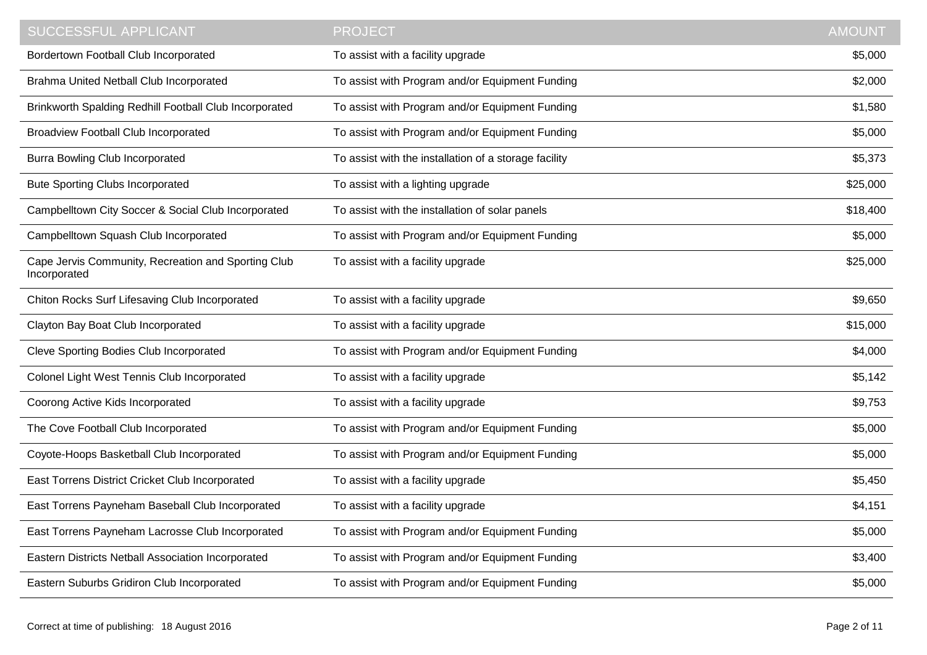| <b>SUCCESSFUL APPLICANT</b>                                         | <b>PROJECT</b>                                        | <b>AMOUNT</b> |
|---------------------------------------------------------------------|-------------------------------------------------------|---------------|
| Bordertown Football Club Incorporated                               | To assist with a facility upgrade                     | \$5,000       |
| Brahma United Netball Club Incorporated                             | To assist with Program and/or Equipment Funding       | \$2,000       |
| Brinkworth Spalding Redhill Football Club Incorporated              | To assist with Program and/or Equipment Funding       | \$1,580       |
| Broadview Football Club Incorporated                                | To assist with Program and/or Equipment Funding       | \$5,000       |
| <b>Burra Bowling Club Incorporated</b>                              | To assist with the installation of a storage facility | \$5,373       |
| <b>Bute Sporting Clubs Incorporated</b>                             | To assist with a lighting upgrade                     | \$25,000      |
| Campbelltown City Soccer & Social Club Incorporated                 | To assist with the installation of solar panels       | \$18,400      |
| Campbelltown Squash Club Incorporated                               | To assist with Program and/or Equipment Funding       | \$5,000       |
| Cape Jervis Community, Recreation and Sporting Club<br>Incorporated | To assist with a facility upgrade                     | \$25,000      |
| Chiton Rocks Surf Lifesaving Club Incorporated                      | To assist with a facility upgrade                     | \$9,650       |
| Clayton Bay Boat Club Incorporated                                  | To assist with a facility upgrade                     | \$15,000      |
| Cleve Sporting Bodies Club Incorporated                             | To assist with Program and/or Equipment Funding       | \$4,000       |
| Colonel Light West Tennis Club Incorporated                         | To assist with a facility upgrade                     | \$5,142       |
| Coorong Active Kids Incorporated                                    | To assist with a facility upgrade                     | \$9,753       |
| The Cove Football Club Incorporated                                 | To assist with Program and/or Equipment Funding       | \$5,000       |
| Coyote-Hoops Basketball Club Incorporated                           | To assist with Program and/or Equipment Funding       | \$5,000       |
| East Torrens District Cricket Club Incorporated                     | To assist with a facility upgrade                     | \$5,450       |
| East Torrens Payneham Baseball Club Incorporated                    | To assist with a facility upgrade                     | \$4,151       |
| East Torrens Payneham Lacrosse Club Incorporated                    | To assist with Program and/or Equipment Funding       | \$5,000       |
| Eastern Districts Netball Association Incorporated                  | To assist with Program and/or Equipment Funding       | \$3,400       |
| Eastern Suburbs Gridiron Club Incorporated                          | To assist with Program and/or Equipment Funding       | \$5,000       |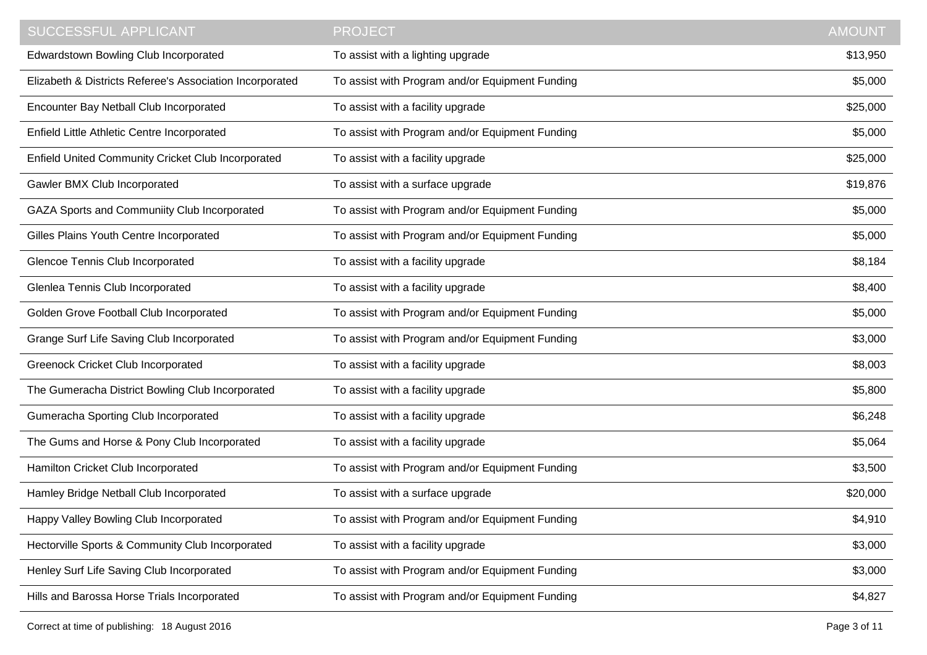| <b>SUCCESSFUL APPLICANT</b>                               | <b>PROJECT</b>                                  | <b>AMOUNT</b> |
|-----------------------------------------------------------|-------------------------------------------------|---------------|
| Edwardstown Bowling Club Incorporated                     | To assist with a lighting upgrade               | \$13,950      |
| Elizabeth & Districts Referee's Association Incorporated  | To assist with Program and/or Equipment Funding | \$5,000       |
| Encounter Bay Netball Club Incorporated                   | To assist with a facility upgrade               | \$25,000      |
| Enfield Little Athletic Centre Incorporated               | To assist with Program and/or Equipment Funding | \$5,000       |
| <b>Enfield United Community Cricket Club Incorporated</b> | To assist with a facility upgrade               | \$25,000      |
| Gawler BMX Club Incorporated                              | To assist with a surface upgrade                | \$19,876      |
| GAZA Sports and Communiity Club Incorporated              | To assist with Program and/or Equipment Funding | \$5,000       |
| Gilles Plains Youth Centre Incorporated                   | To assist with Program and/or Equipment Funding | \$5,000       |
| Glencoe Tennis Club Incorporated                          | To assist with a facility upgrade               | \$8,184       |
| Glenlea Tennis Club Incorporated                          | To assist with a facility upgrade               | \$8,400       |
| Golden Grove Football Club Incorporated                   | To assist with Program and/or Equipment Funding | \$5,000       |
| Grange Surf Life Saving Club Incorporated                 | To assist with Program and/or Equipment Funding | \$3,000       |
| <b>Greenock Cricket Club Incorporated</b>                 | To assist with a facility upgrade               | \$8,003       |
| The Gumeracha District Bowling Club Incorporated          | To assist with a facility upgrade               | \$5,800       |
| Gumeracha Sporting Club Incorporated                      | To assist with a facility upgrade               | \$6,248       |
| The Gums and Horse & Pony Club Incorporated               | To assist with a facility upgrade               | \$5,064       |
| Hamilton Cricket Club Incorporated                        | To assist with Program and/or Equipment Funding | \$3,500       |
| Hamley Bridge Netball Club Incorporated                   | To assist with a surface upgrade                | \$20,000      |
| Happy Valley Bowling Club Incorporated                    | To assist with Program and/or Equipment Funding | \$4,910       |
| Hectorville Sports & Community Club Incorporated          | To assist with a facility upgrade               | \$3,000       |
| Henley Surf Life Saving Club Incorporated                 | To assist with Program and/or Equipment Funding | \$3,000       |
| Hills and Barossa Horse Trials Incorporated               | To assist with Program and/or Equipment Funding | \$4,827       |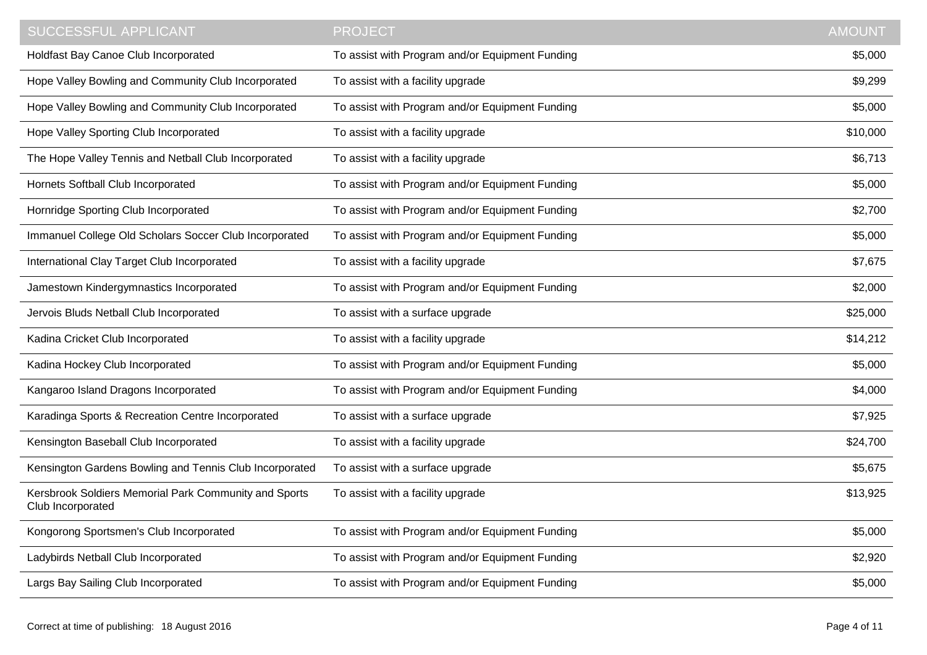| SUCCESSFUL APPLICANT                                                       | <b>PROJECT</b>                                  | <b>AMOUNT</b> |
|----------------------------------------------------------------------------|-------------------------------------------------|---------------|
| Holdfast Bay Canoe Club Incorporated                                       | To assist with Program and/or Equipment Funding | \$5,000       |
| Hope Valley Bowling and Community Club Incorporated                        | To assist with a facility upgrade               | \$9,299       |
| Hope Valley Bowling and Community Club Incorporated                        | To assist with Program and/or Equipment Funding | \$5,000       |
| Hope Valley Sporting Club Incorporated                                     | To assist with a facility upgrade               | \$10,000      |
| The Hope Valley Tennis and Netball Club Incorporated                       | To assist with a facility upgrade               | \$6,713       |
| Hornets Softball Club Incorporated                                         | To assist with Program and/or Equipment Funding | \$5,000       |
| Hornridge Sporting Club Incorporated                                       | To assist with Program and/or Equipment Funding | \$2,700       |
| Immanuel College Old Scholars Soccer Club Incorporated                     | To assist with Program and/or Equipment Funding | \$5,000       |
| International Clay Target Club Incorporated                                | To assist with a facility upgrade               | \$7,675       |
| Jamestown Kindergymnastics Incorporated                                    | To assist with Program and/or Equipment Funding | \$2,000       |
| Jervois Bluds Netball Club Incorporated                                    | To assist with a surface upgrade                | \$25,000      |
| Kadina Cricket Club Incorporated                                           | To assist with a facility upgrade               | \$14,212      |
| Kadina Hockey Club Incorporated                                            | To assist with Program and/or Equipment Funding | \$5,000       |
| Kangaroo Island Dragons Incorporated                                       | To assist with Program and/or Equipment Funding | \$4,000       |
| Karadinga Sports & Recreation Centre Incorporated                          | To assist with a surface upgrade                | \$7,925       |
| Kensington Baseball Club Incorporated                                      | To assist with a facility upgrade               | \$24,700      |
| Kensington Gardens Bowling and Tennis Club Incorporated                    | To assist with a surface upgrade                | \$5,675       |
| Kersbrook Soldiers Memorial Park Community and Sports<br>Club Incorporated | To assist with a facility upgrade               | \$13,925      |
| Kongorong Sportsmen's Club Incorporated                                    | To assist with Program and/or Equipment Funding | \$5,000       |
| Ladybirds Netball Club Incorporated                                        | To assist with Program and/or Equipment Funding | \$2,920       |
| Largs Bay Sailing Club Incorporated                                        | To assist with Program and/or Equipment Funding | \$5,000       |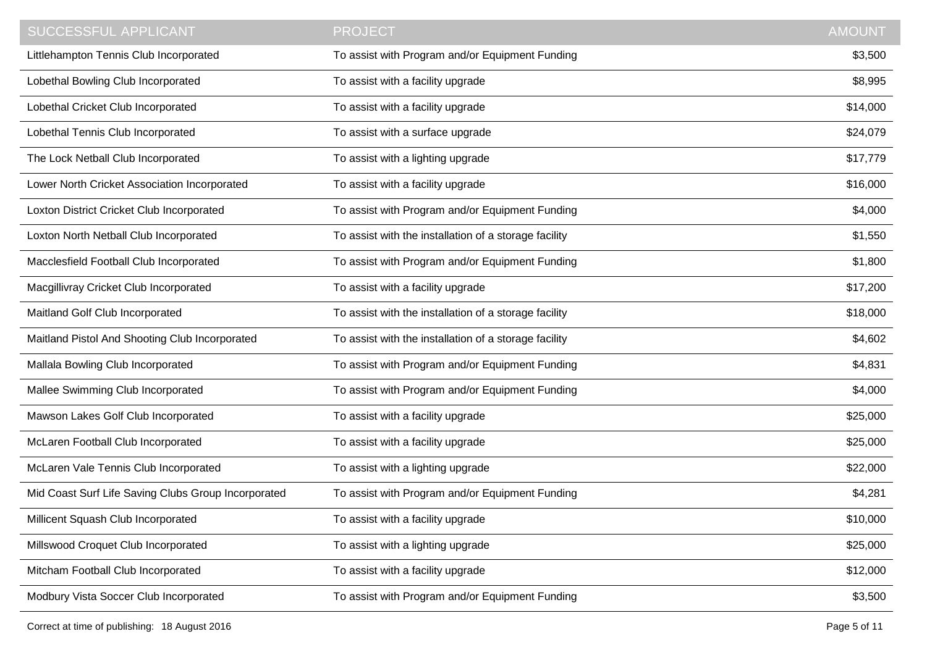| <b>SUCCESSFUL APPLICANT</b>                         | <b>PROJECT</b>                                        | <b>AMOUNT</b> |
|-----------------------------------------------------|-------------------------------------------------------|---------------|
| Littlehampton Tennis Club Incorporated              | To assist with Program and/or Equipment Funding       | \$3,500       |
| Lobethal Bowling Club Incorporated                  | To assist with a facility upgrade                     | \$8,995       |
| Lobethal Cricket Club Incorporated                  | To assist with a facility upgrade                     | \$14,000      |
| Lobethal Tennis Club Incorporated                   | To assist with a surface upgrade                      | \$24,079      |
| The Lock Netball Club Incorporated                  | To assist with a lighting upgrade                     | \$17,779      |
| Lower North Cricket Association Incorporated        | To assist with a facility upgrade                     | \$16,000      |
| Loxton District Cricket Club Incorporated           | To assist with Program and/or Equipment Funding       | \$4,000       |
| Loxton North Netball Club Incorporated              | To assist with the installation of a storage facility | \$1,550       |
| Macclesfield Football Club Incorporated             | To assist with Program and/or Equipment Funding       | \$1,800       |
| Macgillivray Cricket Club Incorporated              | To assist with a facility upgrade                     | \$17,200      |
| Maitland Golf Club Incorporated                     | To assist with the installation of a storage facility | \$18,000      |
| Maitland Pistol And Shooting Club Incorporated      | To assist with the installation of a storage facility | \$4,602       |
| Mallala Bowling Club Incorporated                   | To assist with Program and/or Equipment Funding       | \$4,831       |
| Mallee Swimming Club Incorporated                   | To assist with Program and/or Equipment Funding       | \$4,000       |
| Mawson Lakes Golf Club Incorporated                 | To assist with a facility upgrade                     | \$25,000      |
| McLaren Football Club Incorporated                  | To assist with a facility upgrade                     | \$25,000      |
| McLaren Vale Tennis Club Incorporated               | To assist with a lighting upgrade                     | \$22,000      |
| Mid Coast Surf Life Saving Clubs Group Incorporated | To assist with Program and/or Equipment Funding       | \$4,281       |
| Millicent Squash Club Incorporated                  | To assist with a facility upgrade                     | \$10,000      |
| Millswood Croquet Club Incorporated                 | To assist with a lighting upgrade                     | \$25,000      |
| Mitcham Football Club Incorporated                  | To assist with a facility upgrade                     | \$12,000      |
| Modbury Vista Soccer Club Incorporated              | To assist with Program and/or Equipment Funding       | \$3,500       |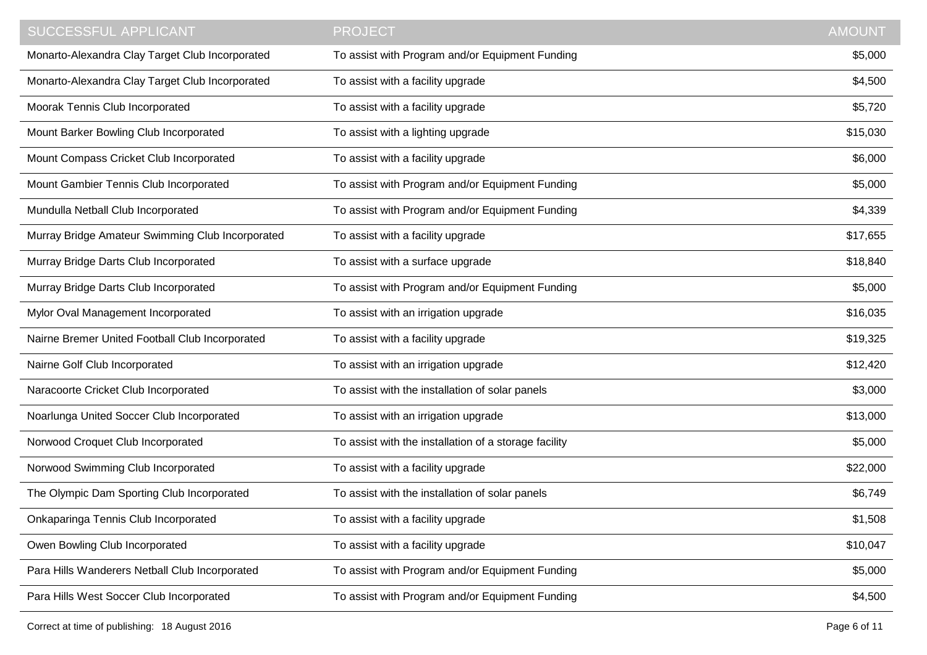| <b>SUCCESSFUL APPLICANT</b>                      | <b>PROJECT</b>                                        | <b>AMOUNT</b> |
|--------------------------------------------------|-------------------------------------------------------|---------------|
| Monarto-Alexandra Clay Target Club Incorporated  | To assist with Program and/or Equipment Funding       | \$5,000       |
| Monarto-Alexandra Clay Target Club Incorporated  | To assist with a facility upgrade                     | \$4,500       |
| Moorak Tennis Club Incorporated                  | To assist with a facility upgrade                     | \$5,720       |
| Mount Barker Bowling Club Incorporated           | To assist with a lighting upgrade                     | \$15,030      |
| Mount Compass Cricket Club Incorporated          | To assist with a facility upgrade                     | \$6,000       |
| Mount Gambier Tennis Club Incorporated           | To assist with Program and/or Equipment Funding       | \$5,000       |
| Mundulla Netball Club Incorporated               | To assist with Program and/or Equipment Funding       | \$4,339       |
| Murray Bridge Amateur Swimming Club Incorporated | To assist with a facility upgrade                     | \$17,655      |
| Murray Bridge Darts Club Incorporated            | To assist with a surface upgrade                      | \$18,840      |
| Murray Bridge Darts Club Incorporated            | To assist with Program and/or Equipment Funding       | \$5,000       |
| Mylor Oval Management Incorporated               | To assist with an irrigation upgrade                  | \$16,035      |
| Nairne Bremer United Football Club Incorporated  | To assist with a facility upgrade                     | \$19,325      |
| Nairne Golf Club Incorporated                    | To assist with an irrigation upgrade                  | \$12,420      |
| Naracoorte Cricket Club Incorporated             | To assist with the installation of solar panels       | \$3,000       |
| Noarlunga United Soccer Club Incorporated        | To assist with an irrigation upgrade                  | \$13,000      |
| Norwood Croquet Club Incorporated                | To assist with the installation of a storage facility | \$5,000       |
| Norwood Swimming Club Incorporated               | To assist with a facility upgrade                     | \$22,000      |
| The Olympic Dam Sporting Club Incorporated       | To assist with the installation of solar panels       | \$6,749       |
| Onkaparinga Tennis Club Incorporated             | To assist with a facility upgrade                     | \$1,508       |
| Owen Bowling Club Incorporated                   | To assist with a facility upgrade                     | \$10,047      |
| Para Hills Wanderers Netball Club Incorporated   | To assist with Program and/or Equipment Funding       | \$5,000       |
| Para Hills West Soccer Club Incorporated         | To assist with Program and/or Equipment Funding       | \$4,500       |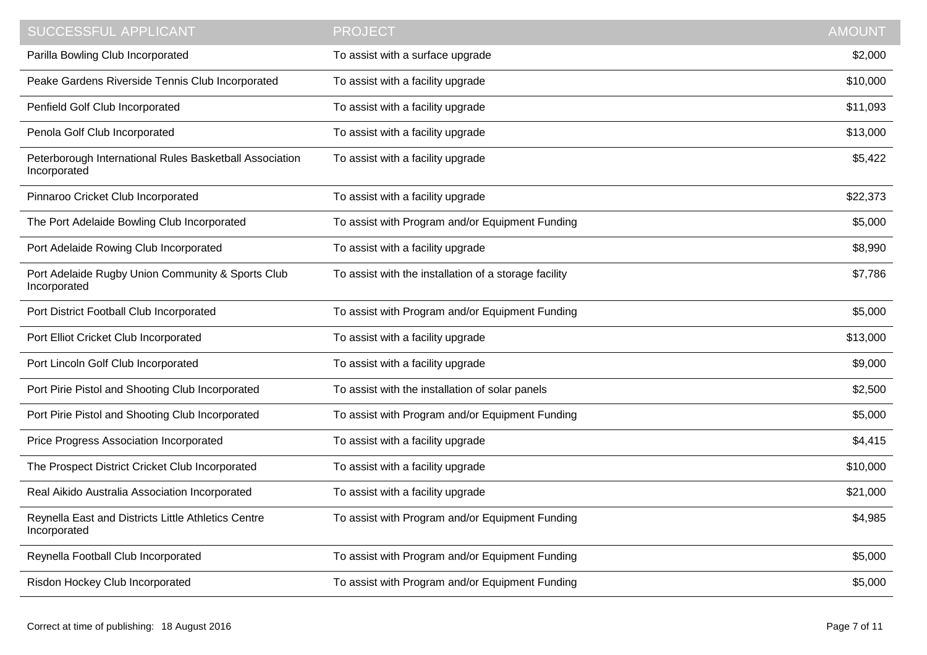| SUCCESSFUL APPLICANT                                                    | <b>PROJECT</b>                                        | <b>AMOUNT</b> |
|-------------------------------------------------------------------------|-------------------------------------------------------|---------------|
| Parilla Bowling Club Incorporated                                       | To assist with a surface upgrade                      | \$2,000       |
| Peake Gardens Riverside Tennis Club Incorporated                        | To assist with a facility upgrade                     | \$10,000      |
| Penfield Golf Club Incorporated                                         | To assist with a facility upgrade                     | \$11,093      |
| Penola Golf Club Incorporated                                           | To assist with a facility upgrade                     | \$13,000      |
| Peterborough International Rules Basketball Association<br>Incorporated | To assist with a facility upgrade                     | \$5,422       |
| Pinnaroo Cricket Club Incorporated                                      | To assist with a facility upgrade                     | \$22,373      |
| The Port Adelaide Bowling Club Incorporated                             | To assist with Program and/or Equipment Funding       | \$5,000       |
| Port Adelaide Rowing Club Incorporated                                  | To assist with a facility upgrade                     | \$8,990       |
| Port Adelaide Rugby Union Community & Sports Club<br>Incorporated       | To assist with the installation of a storage facility | \$7,786       |
| Port District Football Club Incorporated                                | To assist with Program and/or Equipment Funding       | \$5,000       |
| Port Elliot Cricket Club Incorporated                                   | To assist with a facility upgrade                     | \$13,000      |
| Port Lincoln Golf Club Incorporated                                     | To assist with a facility upgrade                     | \$9,000       |
| Port Pirie Pistol and Shooting Club Incorporated                        | To assist with the installation of solar panels       | \$2,500       |
| Port Pirie Pistol and Shooting Club Incorporated                        | To assist with Program and/or Equipment Funding       | \$5,000       |
| Price Progress Association Incorporated                                 | To assist with a facility upgrade                     | \$4,415       |
| The Prospect District Cricket Club Incorporated                         | To assist with a facility upgrade                     | \$10,000      |
| Real Aikido Australia Association Incorporated                          | To assist with a facility upgrade                     | \$21,000      |
| Reynella East and Districts Little Athletics Centre<br>Incorporated     | To assist with Program and/or Equipment Funding       | \$4,985       |
| Reynella Football Club Incorporated                                     | To assist with Program and/or Equipment Funding       | \$5,000       |
| Risdon Hockey Club Incorporated                                         | To assist with Program and/or Equipment Funding       | \$5,000       |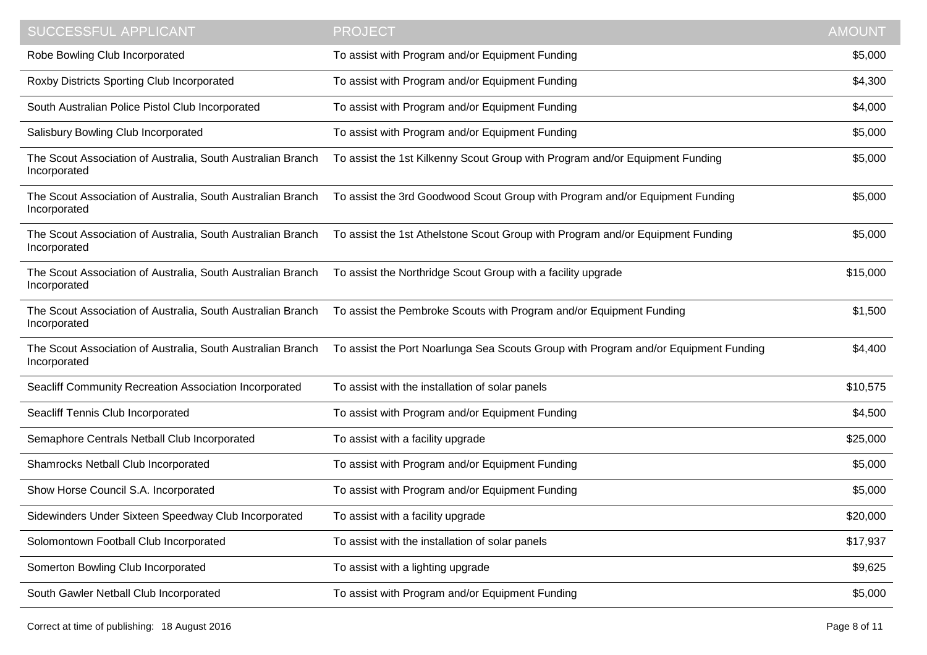| <b>SUCCESSFUL APPLICANT</b>                                                 | <b>PROJECT</b>                                                                      | <b>AMOUNT</b> |
|-----------------------------------------------------------------------------|-------------------------------------------------------------------------------------|---------------|
| Robe Bowling Club Incorporated                                              | To assist with Program and/or Equipment Funding                                     | \$5,000       |
| Roxby Districts Sporting Club Incorporated                                  | To assist with Program and/or Equipment Funding                                     | \$4,300       |
| South Australian Police Pistol Club Incorporated                            | To assist with Program and/or Equipment Funding                                     | \$4,000       |
| Salisbury Bowling Club Incorporated                                         | To assist with Program and/or Equipment Funding                                     | \$5,000       |
| The Scout Association of Australia, South Australian Branch<br>Incorporated | To assist the 1st Kilkenny Scout Group with Program and/or Equipment Funding        | \$5,000       |
| The Scout Association of Australia, South Australian Branch<br>Incorporated | To assist the 3rd Goodwood Scout Group with Program and/or Equipment Funding        | \$5,000       |
| The Scout Association of Australia, South Australian Branch<br>Incorporated | To assist the 1st Athelstone Scout Group with Program and/or Equipment Funding      | \$5,000       |
| The Scout Association of Australia, South Australian Branch<br>Incorporated | To assist the Northridge Scout Group with a facility upgrade                        | \$15,000      |
| The Scout Association of Australia, South Australian Branch<br>Incorporated | To assist the Pembroke Scouts with Program and/or Equipment Funding                 | \$1,500       |
| The Scout Association of Australia, South Australian Branch<br>Incorporated | To assist the Port Noarlunga Sea Scouts Group with Program and/or Equipment Funding | \$4,400       |
| Seacliff Community Recreation Association Incorporated                      | To assist with the installation of solar panels                                     | \$10,575      |
| Seacliff Tennis Club Incorporated                                           | To assist with Program and/or Equipment Funding                                     | \$4,500       |
| Semaphore Centrals Netball Club Incorporated                                | To assist with a facility upgrade                                                   | \$25,000      |
| Shamrocks Netball Club Incorporated                                         | To assist with Program and/or Equipment Funding                                     | \$5,000       |
| Show Horse Council S.A. Incorporated                                        | To assist with Program and/or Equipment Funding                                     | \$5,000       |
| Sidewinders Under Sixteen Speedway Club Incorporated                        | To assist with a facility upgrade                                                   | \$20,000      |
| Solomontown Football Club Incorporated                                      | To assist with the installation of solar panels                                     | \$17,937      |
| Somerton Bowling Club Incorporated                                          | To assist with a lighting upgrade                                                   | \$9,625       |
| South Gawler Netball Club Incorporated                                      | To assist with Program and/or Equipment Funding                                     | \$5,000       |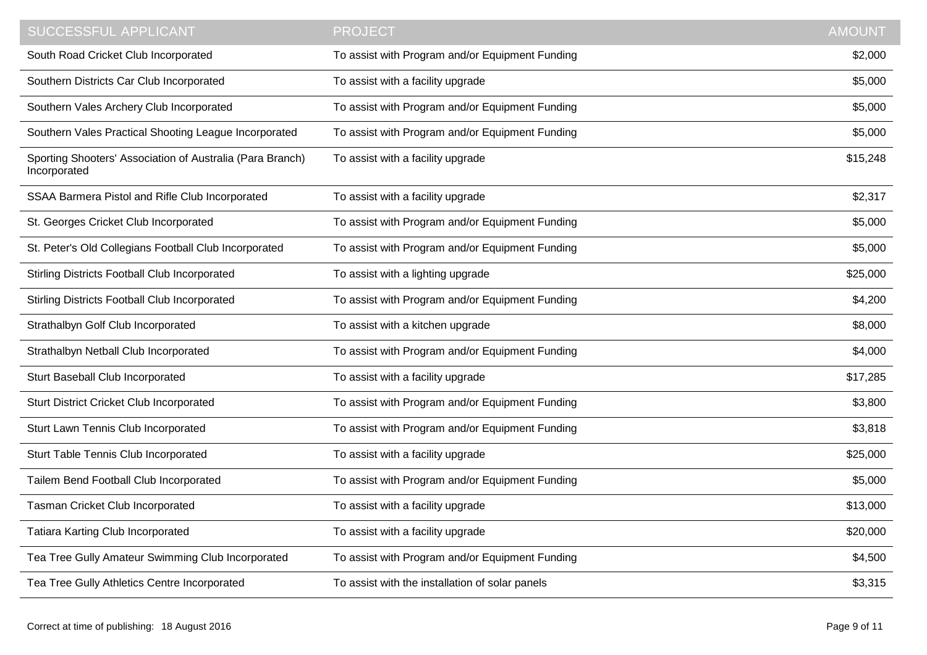| <b>SUCCESSFUL APPLICANT</b>                                               | <b>PROJECT</b>                                  | <b>AMOUNT</b> |
|---------------------------------------------------------------------------|-------------------------------------------------|---------------|
| South Road Cricket Club Incorporated                                      | To assist with Program and/or Equipment Funding | \$2,000       |
| Southern Districts Car Club Incorporated                                  | To assist with a facility upgrade               | \$5,000       |
| Southern Vales Archery Club Incorporated                                  | To assist with Program and/or Equipment Funding | \$5,000       |
| Southern Vales Practical Shooting League Incorporated                     | To assist with Program and/or Equipment Funding | \$5,000       |
| Sporting Shooters' Association of Australia (Para Branch)<br>Incorporated | To assist with a facility upgrade               | \$15,248      |
| SSAA Barmera Pistol and Rifle Club Incorporated                           | To assist with a facility upgrade               | \$2,317       |
| St. Georges Cricket Club Incorporated                                     | To assist with Program and/or Equipment Funding | \$5,000       |
| St. Peter's Old Collegians Football Club Incorporated                     | To assist with Program and/or Equipment Funding | \$5,000       |
| <b>Stirling Districts Football Club Incorporated</b>                      | To assist with a lighting upgrade               | \$25,000      |
| <b>Stirling Districts Football Club Incorporated</b>                      | To assist with Program and/or Equipment Funding | \$4,200       |
| Strathalbyn Golf Club Incorporated                                        | To assist with a kitchen upgrade                | \$8,000       |
| Strathalbyn Netball Club Incorporated                                     | To assist with Program and/or Equipment Funding | \$4,000       |
| Sturt Baseball Club Incorporated                                          | To assist with a facility upgrade               | \$17,285      |
| <b>Sturt District Cricket Club Incorporated</b>                           | To assist with Program and/or Equipment Funding | \$3,800       |
| Sturt Lawn Tennis Club Incorporated                                       | To assist with Program and/or Equipment Funding | \$3,818       |
| Sturt Table Tennis Club Incorporated                                      | To assist with a facility upgrade               | \$25,000      |
| Tailem Bend Football Club Incorporated                                    | To assist with Program and/or Equipment Funding | \$5,000       |
| Tasman Cricket Club Incorporated                                          | To assist with a facility upgrade               | \$13,000      |
| <b>Tatiara Karting Club Incorporated</b>                                  | To assist with a facility upgrade               | \$20,000      |
| Tea Tree Gully Amateur Swimming Club Incorporated                         | To assist with Program and/or Equipment Funding | \$4,500       |
| Tea Tree Gully Athletics Centre Incorporated                              | To assist with the installation of solar panels | \$3,315       |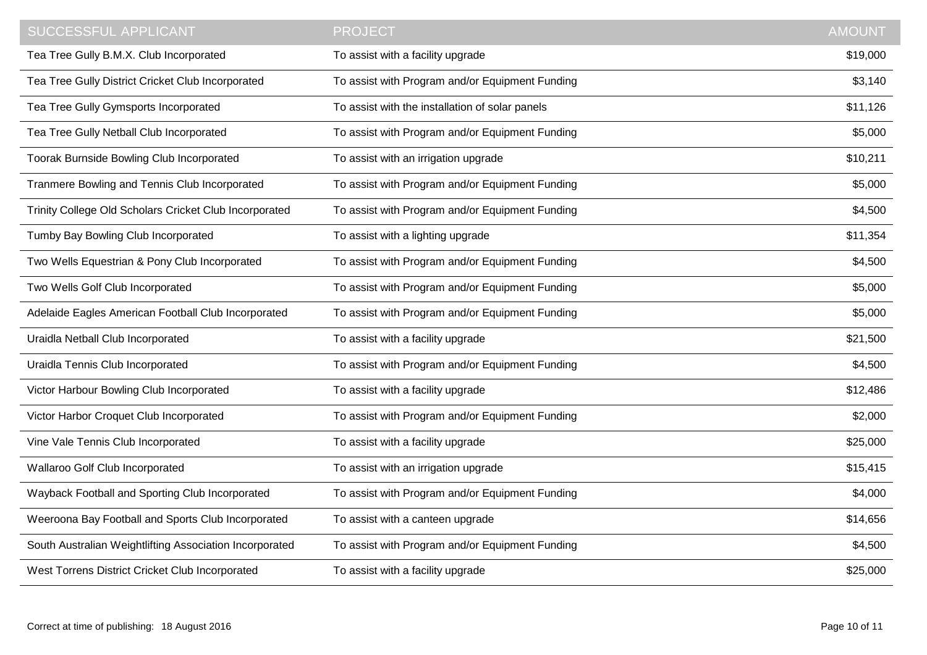| SUCCESSFUL APPLICANT                                    | <b>PROJECT</b>                                  | <b>AMOUNT</b> |
|---------------------------------------------------------|-------------------------------------------------|---------------|
| Tea Tree Gully B.M.X. Club Incorporated                 | To assist with a facility upgrade               | \$19,000      |
| Tea Tree Gully District Cricket Club Incorporated       | To assist with Program and/or Equipment Funding | \$3,140       |
| Tea Tree Gully Gymsports Incorporated                   | To assist with the installation of solar panels | \$11,126      |
| Tea Tree Gully Netball Club Incorporated                | To assist with Program and/or Equipment Funding | \$5,000       |
| Toorak Burnside Bowling Club Incorporated               | To assist with an irrigation upgrade            | \$10,211      |
| Tranmere Bowling and Tennis Club Incorporated           | To assist with Program and/or Equipment Funding | \$5,000       |
| Trinity College Old Scholars Cricket Club Incorporated  | To assist with Program and/or Equipment Funding | \$4,500       |
| Tumby Bay Bowling Club Incorporated                     | To assist with a lighting upgrade               | \$11,354      |
| Two Wells Equestrian & Pony Club Incorporated           | To assist with Program and/or Equipment Funding | \$4,500       |
| Two Wells Golf Club Incorporated                        | To assist with Program and/or Equipment Funding | \$5,000       |
| Adelaide Eagles American Football Club Incorporated     | To assist with Program and/or Equipment Funding | \$5,000       |
| Uraidla Netball Club Incorporated                       | To assist with a facility upgrade               | \$21,500      |
| Uraidla Tennis Club Incorporated                        | To assist with Program and/or Equipment Funding | \$4,500       |
| Victor Harbour Bowling Club Incorporated                | To assist with a facility upgrade               | \$12,486      |
| Victor Harbor Croquet Club Incorporated                 | To assist with Program and/or Equipment Funding | \$2,000       |
| Vine Vale Tennis Club Incorporated                      | To assist with a facility upgrade               | \$25,000      |
| Wallaroo Golf Club Incorporated                         | To assist with an irrigation upgrade            | \$15,415      |
| Wayback Football and Sporting Club Incorporated         | To assist with Program and/or Equipment Funding | \$4,000       |
| Weeroona Bay Football and Sports Club Incorporated      | To assist with a canteen upgrade                | \$14,656      |
| South Australian Weightlifting Association Incorporated | To assist with Program and/or Equipment Funding | \$4,500       |
| West Torrens District Cricket Club Incorporated         | To assist with a facility upgrade               | \$25,000      |